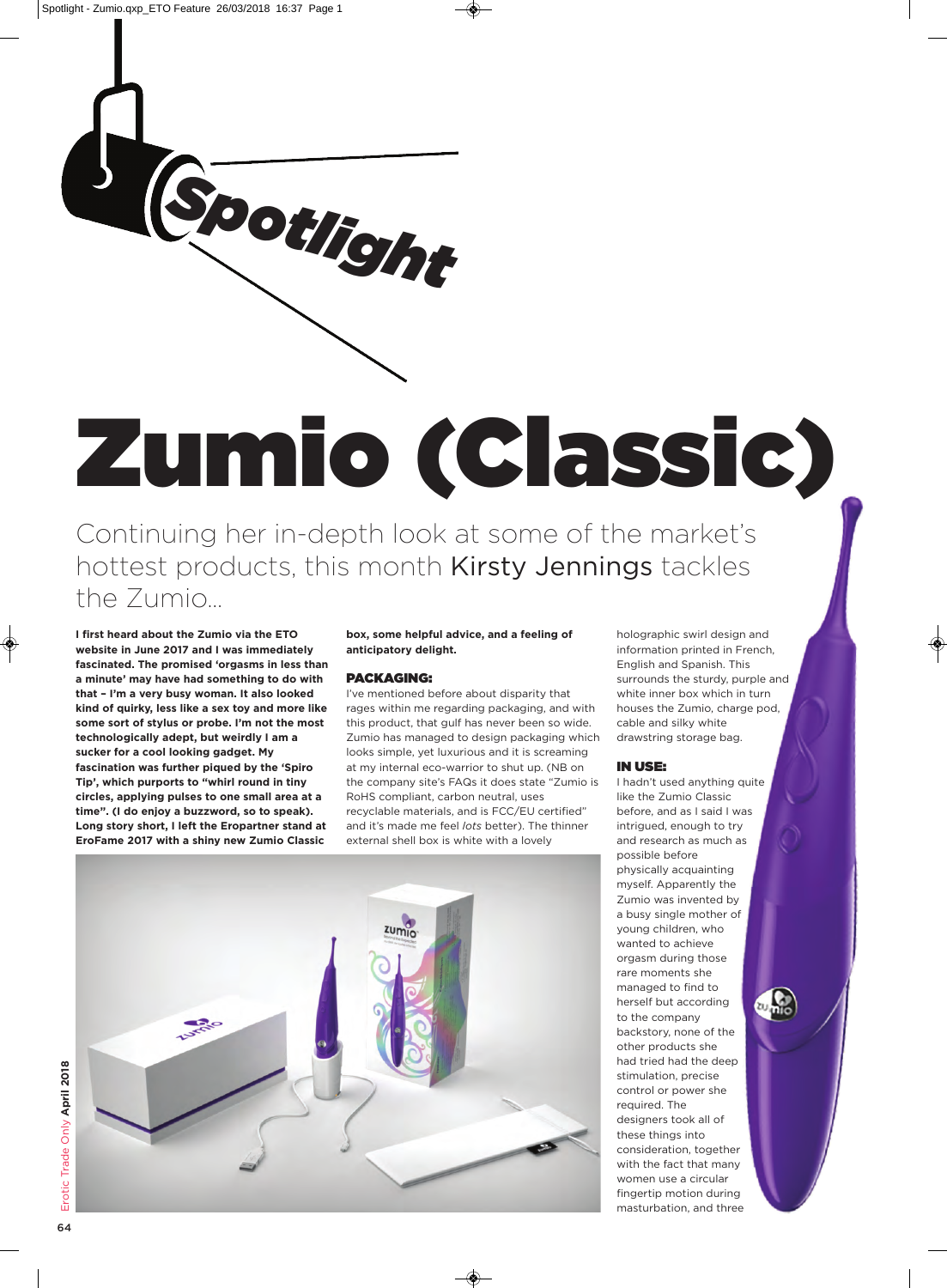

# **Zumio (Classic)**

Continuing her in-depth look at some of the market's hottest products, this month Kirsty Jennings tackles the Zumio…

**I first heard about the Zumio via the ETO website in June 2017 and I was immediately fascinated. The promised 'orgasms in less than a minute' may have had something to do with that – I'm a very busy woman. It also looked kind of quirky, less like a sex toy and more like some sort of stylus or probe. I'm not the most technologically adept, but weirdly I am a sucker for a cool looking gadget. My fascination was further piqued by the 'Spiro Tip', which purports to "whirl round in tiny circles, applying pulses to one small area at a time". (I do enjoy a buzzword, so to speak). Long story short, I left the Eropartner stand at EroFame 2017 with a shiny new Zumio Classic**

### **box, some helpful advice, and a feeling of anticipatory delight.**

# **PACKAGING:**

I've mentioned before about disparity that rages within me regarding packaging, and with this product, that gulf has never been so wide. Zumio has managed to design packaging which looks simple, yet luxurious and it is screaming at my internal eco-warrior to shut up. (NB on the company site's FAQs it does state "Zumio is RoHS compliant, carbon neutral, uses recyclable materials, and is FCC/EU certified" and it's made me feel *lots* better). The thinner external shell box is white with a lovely

holographic swirl design and information printed in French, English and Spanish. This surrounds the sturdy, purple and white inner box which in turn houses the Zumio, charge pod, cable and silky white drawstring storage bag.

# **IN USE:**

I hadn't used anything quite like the Zumio Classic before, and as I said I was intrigued, enough to try and research as much as possible before physically acquainting myself. Apparently the Zumio was invented by a busy single mother of young children, who wanted to achieve orgasm during those rare moments she managed to find to herself but according to the company backstory, none of the other products she had tried had the deep stimulation, precise control or power she required. The designers took all of these things into consideration, together with the fact that many women use a circular fingertip motion during masturbation, and three